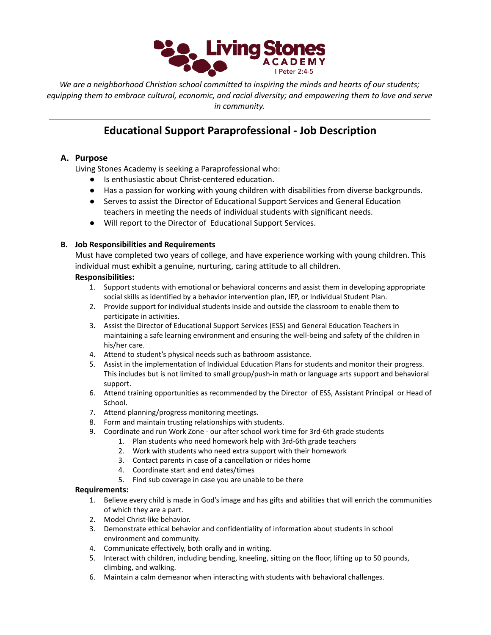

*We are a neighborhood Christian school committed to inspiring the minds and hearts of our students; equipping them to embrace cultural, economic, and racial diversity; and empowering them to love and serve in community.*

# **Educational Support Paraprofessional - Job Description**

## **A. Purpose**

Living Stones Academy is seeking a Paraprofessional who:

- Is enthusiastic about Christ-centered education.
- Has a passion for working with young children with disabilities from diverse backgrounds.
- Serves to assist the Director of Educational Support Services and General Education teachers in meeting the needs of individual students with significant needs.
- Will report to the Director of Educational Support Services.

### **B. Job Responsibilities and Requirements**

Must have completed two years of college, and have experience working with young children. This individual must exhibit a genuine, nurturing, caring attitude to all children.

#### **Responsibilities:**

- 1. Support students with emotional or behavioral concerns and assist them in developing appropriate social skills as identified by a behavior intervention plan, IEP, or Individual Student Plan.
- 2. Provide support for individual students inside and outside the classroom to enable them to participate in activities.
- 3. Assist the Director of Educational Support Services (ESS) and General Education Teachers in maintaining a safe learning environment and ensuring the well-being and safety of the children in his/her care.
- 4. Attend to student's physical needs such as bathroom assistance.
- 5. Assist in the implementation of Individual Education Plans for students and monitor their progress. This includes but is not limited to small group/push-in math or language arts support and behavioral support.
- 6. Attend training opportunities as recommended by the Director of ESS, Assistant Principal or Head of School.
- 7. Attend planning/progress monitoring meetings.
- 8. Form and maintain trusting relationships with students.
- 9. Coordinate and run Work Zone our after school work time for 3rd-6th grade students
	- 1. Plan students who need homework help with 3rd-6th grade teachers
	- 2. Work with students who need extra support with their homework
	- 3. Contact parents in case of a cancellation or rides home
	- 4. Coordinate start and end dates/times
	- 5. Find sub coverage in case you are unable to be there

#### **Requirements:**

- 1. Believe every child is made in God's image and has gifts and abilities that will enrich the communities of which they are a part.
- 2. Model Christ-like behavior.
- 3. Demonstrate ethical behavior and confidentiality of information about students in school environment and community.
- 4. Communicate effectively, both orally and in writing.
- 5. Interact with children, including bending, kneeling, sitting on the floor, lifting up to 50 pounds, climbing, and walking.
- 6. Maintain a calm demeanor when interacting with students with behavioral challenges.